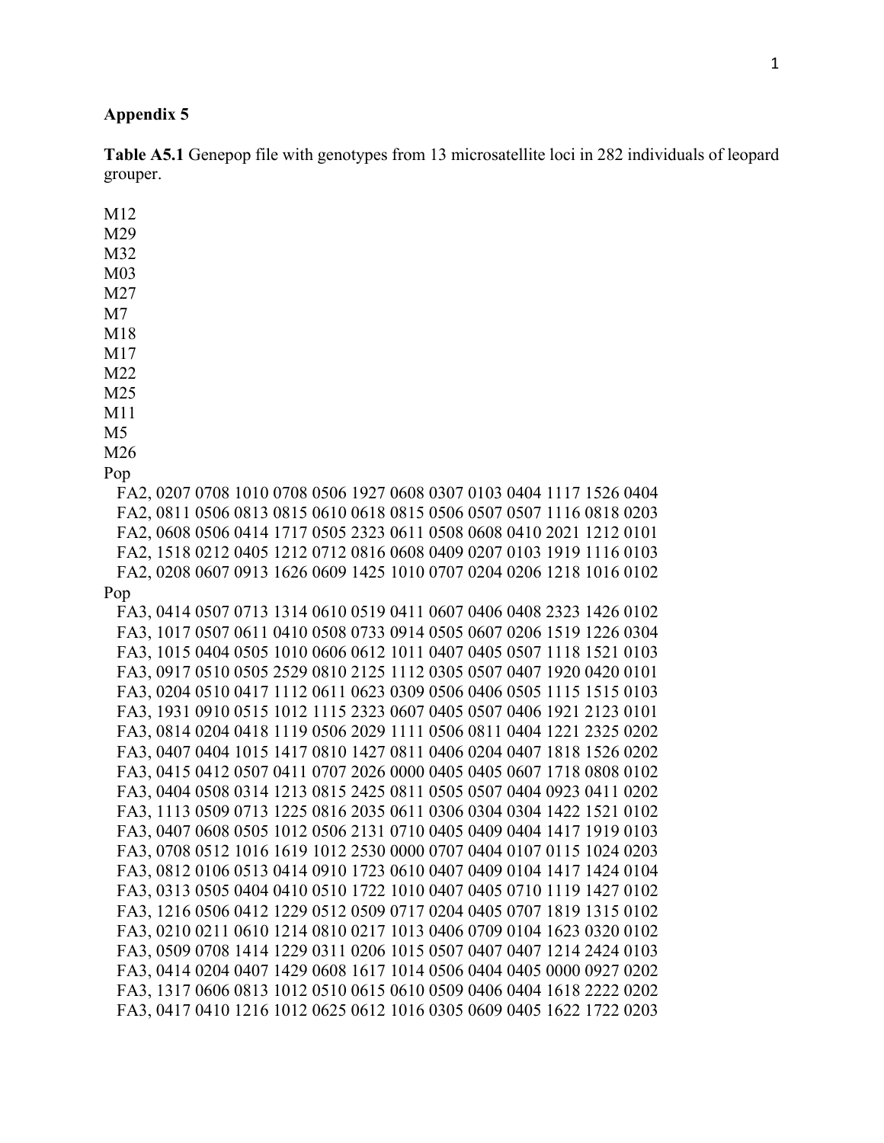## **Appendix 5**

**Table A5.1** Genepop file with genotypes from 13 microsatellite loci in 282 individuals of leopard grouper.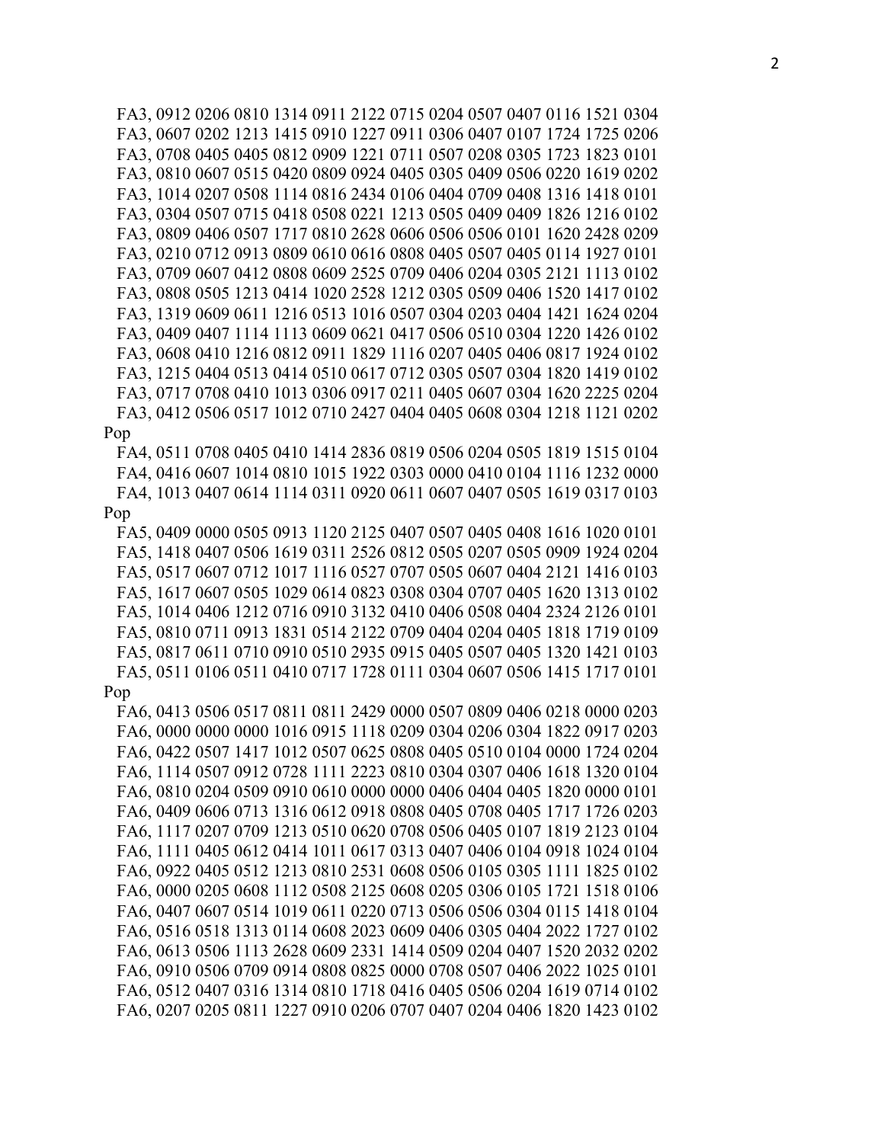FA3, 0912 0206 0810 1314 0911 2122 0715 0204 0507 0407 0116 1521 0304 FA3, 0607 0202 1213 1415 0910 1227 0911 0306 0407 0107 1724 1725 0206 FA3, 0708 0405 0405 0812 0909 1221 0711 0507 0208 0305 1723 1823 0101 FA3, 0810 0607 0515 0420 0809 0924 0405 0305 0409 0506 0220 1619 0202 FA3, 1014 0207 0508 1114 0816 2434 0106 0404 0709 0408 1316 1418 0101 FA3, 0304 0507 0715 0418 0508 0221 1213 0505 0409 0409 1826 1216 0102 FA3, 0809 0406 0507 1717 0810 2628 0606 0506 0506 0101 1620 2428 0209 FA3, 0210 0712 0913 0809 0610 0616 0808 0405 0507 0405 0114 1927 0101 FA3, 0709 0607 0412 0808 0609 2525 0709 0406 0204 0305 2121 1113 0102 FA3, 0808 0505 1213 0414 1020 2528 1212 0305 0509 0406 1520 1417 0102 FA3, 1319 0609 0611 1216 0513 1016 0507 0304 0203 0404 1421 1624 0204 FA3, 0409 0407 1114 1113 0609 0621 0417 0506 0510 0304 1220 1426 0102 FA3, 0608 0410 1216 0812 0911 1829 1116 0207 0405 0406 0817 1924 0102 FA3, 1215 0404 0513 0414 0510 0617 0712 0305 0507 0304 1820 1419 0102 FA3, 0717 0708 0410 1013 0306 0917 0211 0405 0607 0304 1620 2225 0204 FA3, 0412 0506 0517 1012 0710 2427 0404 0405 0608 0304 1218 1121 0202 Pop

 FA4, 0511 0708 0405 0410 1414 2836 0819 0506 0204 0505 1819 1515 0104 FA4, 0416 0607 1014 0810 1015 1922 0303 0000 0410 0104 1116 1232 0000 FA4, 1013 0407 0614 1114 0311 0920 0611 0607 0407 0505 1619 0317 0103 Pop

 FA5, 0409 0000 0505 0913 1120 2125 0407 0507 0405 0408 1616 1020 0101 FA5, 1418 0407 0506 1619 0311 2526 0812 0505 0207 0505 0909 1924 0204 FA5, 0517 0607 0712 1017 1116 0527 0707 0505 0607 0404 2121 1416 0103 FA5, 1617 0607 0505 1029 0614 0823 0308 0304 0707 0405 1620 1313 0102 FA5, 1014 0406 1212 0716 0910 3132 0410 0406 0508 0404 2324 2126 0101 FA5, 0810 0711 0913 1831 0514 2122 0709 0404 0204 0405 1818 1719 0109 FA5, 0817 0611 0710 0910 0510 2935 0915 0405 0507 0405 1320 1421 0103 FA5, 0511 0106 0511 0410 0717 1728 0111 0304 0607 0506 1415 1717 0101

## Pop

 FA6, 0413 0506 0517 0811 0811 2429 0000 0507 0809 0406 0218 0000 0203 FA6, 0000 0000 0000 1016 0915 1118 0209 0304 0206 0304 1822 0917 0203 FA6, 0422 0507 1417 1012 0507 0625 0808 0405 0510 0104 0000 1724 0204 FA6, 1114 0507 0912 0728 1111 2223 0810 0304 0307 0406 1618 1320 0104 FA6, 0810 0204 0509 0910 0610 0000 0000 0406 0404 0405 1820 0000 0101 FA6, 0409 0606 0713 1316 0612 0918 0808 0405 0708 0405 1717 1726 0203 FA6, 1117 0207 0709 1213 0510 0620 0708 0506 0405 0107 1819 2123 0104 FA6, 1111 0405 0612 0414 1011 0617 0313 0407 0406 0104 0918 1024 0104 FA6, 0922 0405 0512 1213 0810 2531 0608 0506 0105 0305 1111 1825 0102 FA6, 0000 0205 0608 1112 0508 2125 0608 0205 0306 0105 1721 1518 0106 FA6, 0407 0607 0514 1019 0611 0220 0713 0506 0506 0304 0115 1418 0104 FA6, 0516 0518 1313 0114 0608 2023 0609 0406 0305 0404 2022 1727 0102 FA6, 0613 0506 1113 2628 0609 2331 1414 0509 0204 0407 1520 2032 0202 FA6, 0910 0506 0709 0914 0808 0825 0000 0708 0507 0406 2022 1025 0101 FA6, 0512 0407 0316 1314 0810 1718 0416 0405 0506 0204 1619 0714 0102 FA6, 0207 0205 0811 1227 0910 0206 0707 0407 0204 0406 1820 1423 0102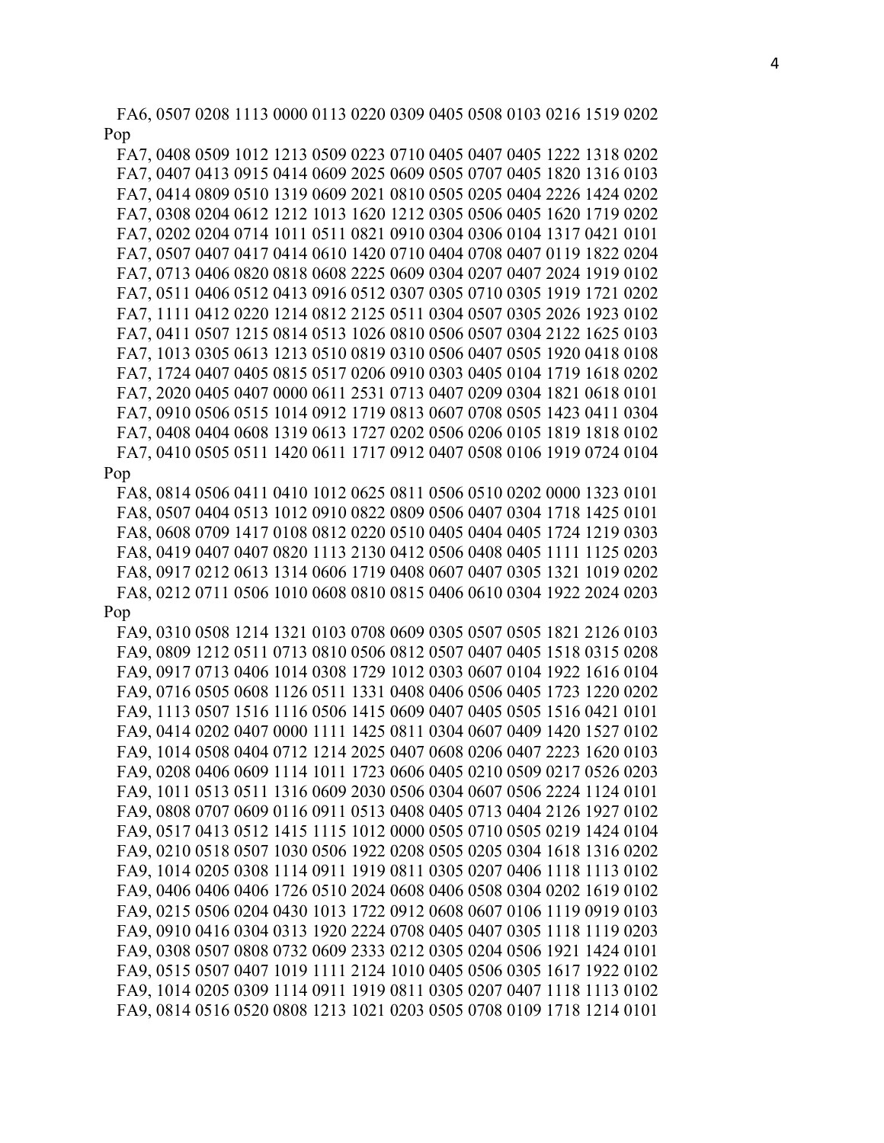FA6, 0507 0208 1113 0000 0113 0220 0309 0405 0508 0103 0216 1519 0202 Pop

 FA7, 0408 0509 1012 1213 0509 0223 0710 0405 0407 0405 1222 1318 0202 FA7, 0407 0413 0915 0414 0609 2025 0609 0505 0707 0405 1820 1316 0103 FA7, 0414 0809 0510 1319 0609 2021 0810 0505 0205 0404 2226 1424 0202 FA7, 0308 0204 0612 1212 1013 1620 1212 0305 0506 0405 1620 1719 0202 FA7, 0202 0204 0714 1011 0511 0821 0910 0304 0306 0104 1317 0421 0101 FA7, 0507 0407 0417 0414 0610 1420 0710 0404 0708 0407 0119 1822 0204 FA7, 0713 0406 0820 0818 0608 2225 0609 0304 0207 0407 2024 1919 0102 FA7, 0511 0406 0512 0413 0916 0512 0307 0305 0710 0305 1919 1721 0202 FA7, 1111 0412 0220 1214 0812 2125 0511 0304 0507 0305 2026 1923 0102 FA7, 0411 0507 1215 0814 0513 1026 0810 0506 0507 0304 2122 1625 0103 FA7, 1013 0305 0613 1213 0510 0819 0310 0506 0407 0505 1920 0418 0108 FA7, 1724 0407 0405 0815 0517 0206 0910 0303 0405 0104 1719 1618 0202 FA7, 2020 0405 0407 0000 0611 2531 0713 0407 0209 0304 1821 0618 0101 FA7, 0910 0506 0515 1014 0912 1719 0813 0607 0708 0505 1423 0411 0304 FA7, 0408 0404 0608 1319 0613 1727 0202 0506 0206 0105 1819 1818 0102 FA7, 0410 0505 0511 1420 0611 1717 0912 0407 0508 0106 1919 0724 0104

## Pop

 FA8, 0814 0506 0411 0410 1012 0625 0811 0506 0510 0202 0000 1323 0101 FA8, 0507 0404 0513 1012 0910 0822 0809 0506 0407 0304 1718 1425 0101 FA8, 0608 0709 1417 0108 0812 0220 0510 0405 0404 0405 1724 1219 0303 FA8, 0419 0407 0407 0820 1113 2130 0412 0506 0408 0405 1111 1125 0203 FA8, 0917 0212 0613 1314 0606 1719 0408 0607 0407 0305 1321 1019 0202 FA8, 0212 0711 0506 1010 0608 0810 0815 0406 0610 0304 1922 2024 0203 Pop

 FA9, 0310 0508 1214 1321 0103 0708 0609 0305 0507 0505 1821 2126 0103 FA9, 0809 1212 0511 0713 0810 0506 0812 0507 0407 0405 1518 0315 0208 FA9, 0917 0713 0406 1014 0308 1729 1012 0303 0607 0104 1922 1616 0104 FA9, 0716 0505 0608 1126 0511 1331 0408 0406 0506 0405 1723 1220 0202 FA9, 1113 0507 1516 1116 0506 1415 0609 0407 0405 0505 1516 0421 0101 FA9, 0414 0202 0407 0000 1111 1425 0811 0304 0607 0409 1420 1527 0102 FA9, 1014 0508 0404 0712 1214 2025 0407 0608 0206 0407 2223 1620 0103 FA9, 0208 0406 0609 1114 1011 1723 0606 0405 0210 0509 0217 0526 0203 FA9, 1011 0513 0511 1316 0609 2030 0506 0304 0607 0506 2224 1124 0101 FA9, 0808 0707 0609 0116 0911 0513 0408 0405 0713 0404 2126 1927 0102 FA9, 0517 0413 0512 1415 1115 1012 0000 0505 0710 0505 0219 1424 0104 FA9, 0210 0518 0507 1030 0506 1922 0208 0505 0205 0304 1618 1316 0202 FA9, 1014 0205 0308 1114 0911 1919 0811 0305 0207 0406 1118 1113 0102 FA9, 0406 0406 0406 1726 0510 2024 0608 0406 0508 0304 0202 1619 0102 FA9, 0215 0506 0204 0430 1013 1722 0912 0608 0607 0106 1119 0919 0103 FA9, 0910 0416 0304 0313 1920 2224 0708 0405 0407 0305 1118 1119 0203 FA9, 0308 0507 0808 0732 0609 2333 0212 0305 0204 0506 1921 1424 0101 FA9, 0515 0507 0407 1019 1111 2124 1010 0405 0506 0305 1617 1922 0102 FA9, 1014 0205 0309 1114 0911 1919 0811 0305 0207 0407 1118 1113 0102 FA9, 0814 0516 0520 0808 1213 1021 0203 0505 0708 0109 1718 1214 0101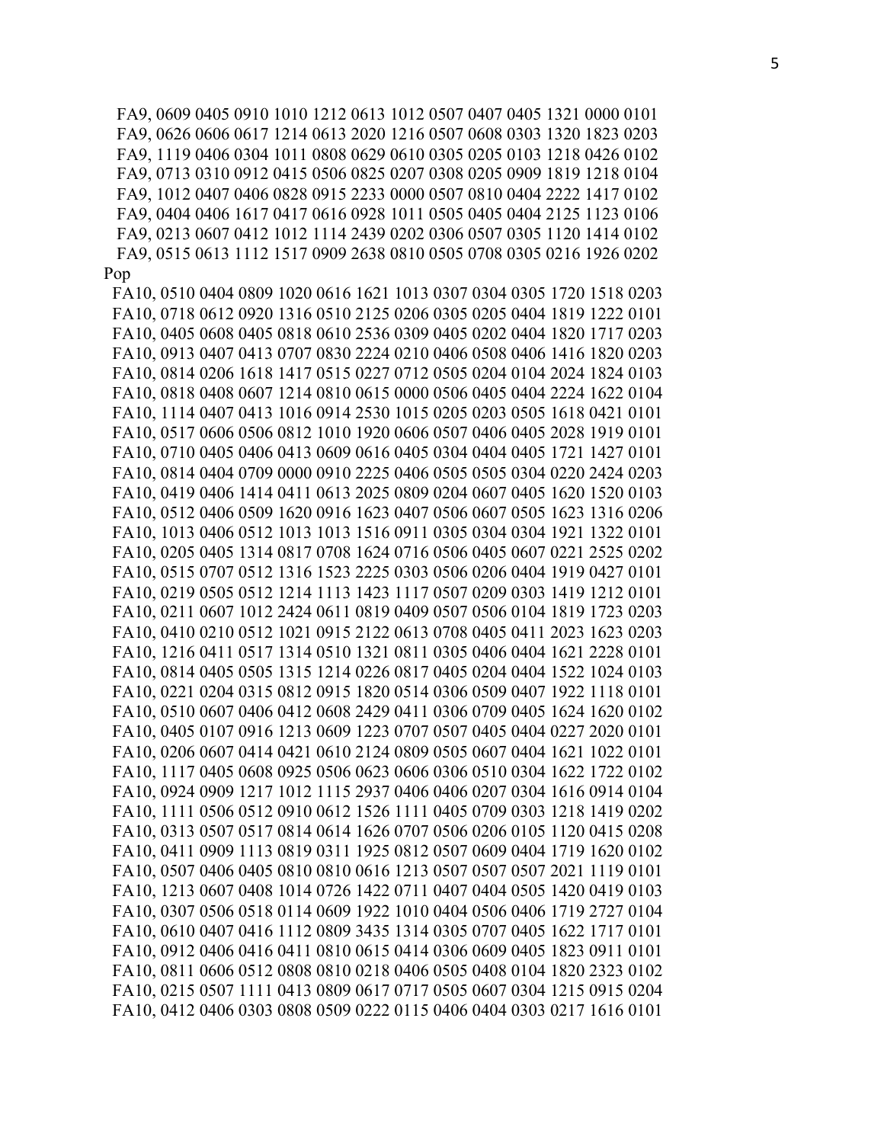FA9, 0609 0405 0910 1010 1212 0613 1012 0507 0407 0405 1321 0000 0101 FA9, 0626 0606 0617 1214 0613 2020 1216 0507 0608 0303 1320 1823 0203 FA9, 1119 0406 0304 1011 0808 0629 0610 0305 0205 0103 1218 0426 0102